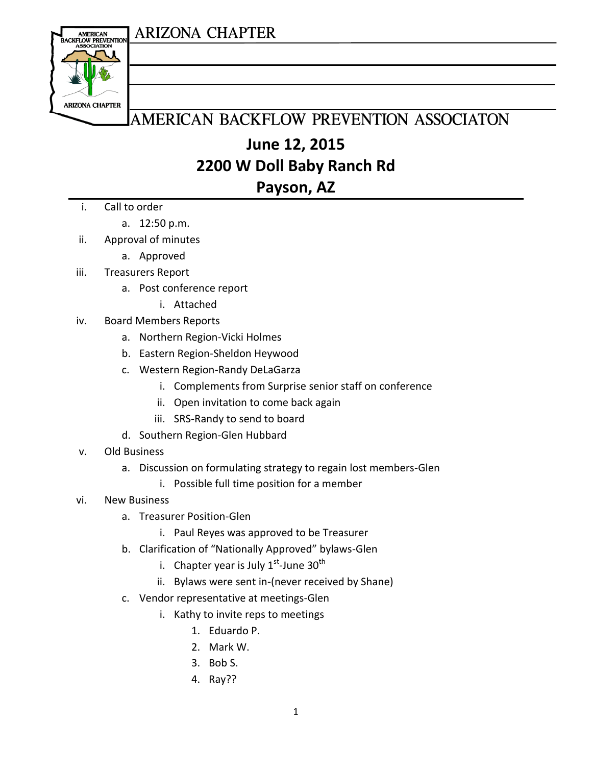#### **ARIZONA CHAPTER**



### AMERICAN BACKFLOW PREVENTION ASSOCIATON

## **June 12, 2015 2200 W Doll Baby Ranch Rd Payson, AZ**

- i. Call to order
	- a. 12:50 p.m.
- ii. Approval of minutes
	- a. Approved
- iii. Treasurers Report
	- a. Post conference report
		- i. Attached
- iv. Board Members Reports
	- a. Northern Region-Vicki Holmes
	- b. Eastern Region-Sheldon Heywood
	- c. Western Region-Randy DeLaGarza
		- i. Complements from Surprise senior staff on conference
		- ii. Open invitation to come back again
		- iii. SRS-Randy to send to board
	- d. Southern Region-Glen Hubbard
- v. Old Business
	- a. Discussion on formulating strategy to regain lost members-Glen
		- i. Possible full time position for a member
- vi. New Business
	- a. Treasurer Position-Glen
		- i. Paul Reyes was approved to be Treasurer
	- b. Clarification of "Nationally Approved" bylaws-Glen
		- i. Chapter year is July  $1^{st}$ -June 30<sup>th</sup>
		- ii. Bylaws were sent in-(never received by Shane)
	- c. Vendor representative at meetings-Glen
		- i. Kathy to invite reps to meetings
			- 1. Eduardo P.
			- 2. Mark W.
			- 3. Bob S.
			- 4. Ray??